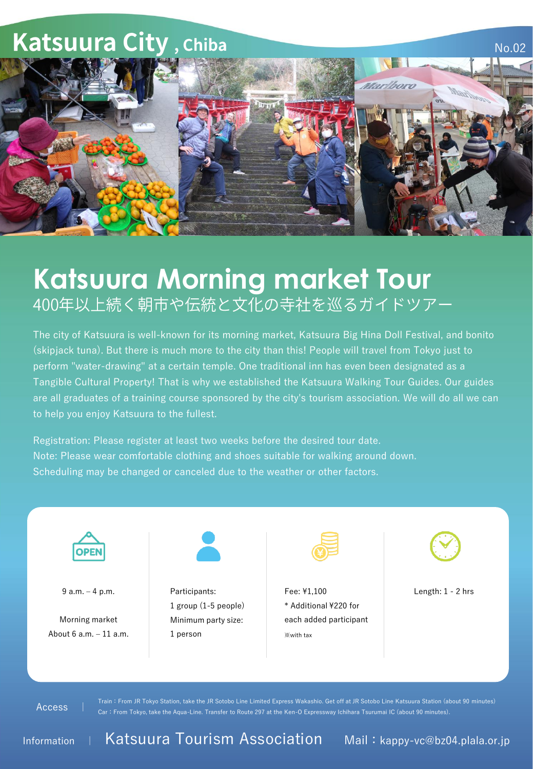

## **Katsuura Morning market Tour** 400年以上続く朝市や伝統と文化の寺社を巡るガイドツアー

The city of Katsuura is well-known for its morning market, Katsuura Big Hina Doll Festival, and bonito (skipjack tuna). But there is much more to the city than this! People will travel from Tokyo just to perform "water-drawing" at a certain temple. One traditional inn has even been designated as a Tangible Cultural Property! That is why we established the Katsuura Walking Tour Guides. Our guides are all graduates of a training course sponsored by the city's tourism association. We will do all we can to help you enjoy Katsuura to the fullest.

Registration: Please register at least two weeks before the desired tour date. Note: Please wear comfortable clothing and shoes suitable for walking around down. Scheduling may be changed or canceled due to the weather or other factors.



9 a.m. – 4 p.m.

Morning market About 6 a.m. – 11 a.m.



Participants: 1 group (1-5 people) Minimum party size: 1 person



Fee: ¥1,100 \* Additional ¥220 for each added participant ※with tax



Length: 1 - 2 hrs

Access |

Train:From JR Tokyo Station, take the JR Sotobo Line Limited Express Wakashio. Get off at JR Sotobo Line Katsuura Station (about 90 minutes) Car:From Tokyo, take the Aqua-Line. Transfer to Route 297 at the Ken-O Expressway Ichihara Tsurumai IC (about 90 minutes).

Information | Katsuura Tourism Association Mail: kappy-vc@bz04.plala.or.jp